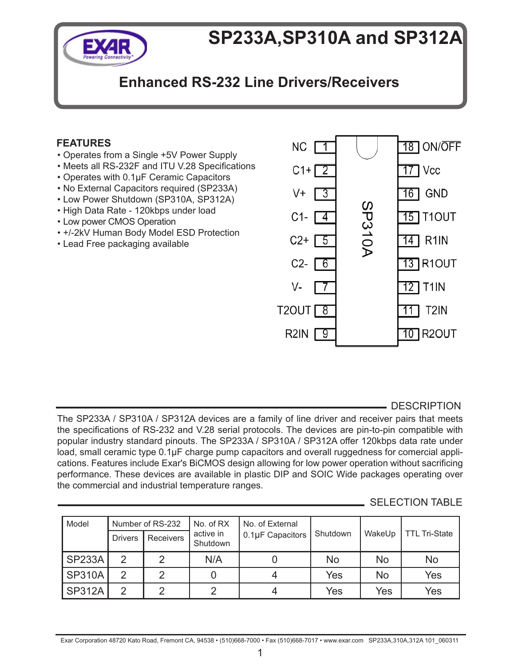

# **SP233A,SP310A and SP312A**

# **Enhanced RS-232 Line Drivers/Receivers**

# **FEATURES**

- Operates from a Single +5V Power Supply
- Meets all RS-232F and ITU V.28 Specifications
- Operates with 0.1μF Ceramic Capacitors
- No External Capacitors required (SP233A)
- Low Power Shutdown (SP310A, SP312A)
- High Data Rate 120kbps under load
- Low power CMOS Operation
- +/-2kV Human Body Model ESD Protection
- Lead Free packaging available



DESCRIPTION

The SP233A / SP310A / SP312A devices are a family of line driver and receiver pairs that meets the specifications of RS-232 and V.28 serial protocols. The devices are pin-to-pin compatible with popular industry standard pinouts. The SP233A / SP310A / SP312A offer 120kbps data rate under load, small ceramic type 0.1μF charge pump capacitors and overall ruggedness for comercial applications. Features include Exar's BiCMOS design allowing for low power operation without sacrificing performance. These devices are available in plastic DIP and SOIC Wide packages operating over the commercial and industrial temperature ranges.

### SELECTION TABLE

| Model         |                | Number of RS-232 | No. of External<br>No. of RX |                  |            |        |                      |
|---------------|----------------|------------------|------------------------------|------------------|------------|--------|----------------------|
|               | <b>Drivers</b> | Receivers        | active in<br>Shutdown        | 0.1µF Capacitors | Shutdown   | WakeUp | <b>TTL Tri-State</b> |
| SP233A        | 2              | っ                | N/A                          |                  | No         | No     | No                   |
| <b>SP310A</b> | 2              | റ                |                              |                  | <b>Yes</b> | No     | Yes                  |
| <b>SP312A</b> | っ              | ⌒                | 2                            |                  | Yes        | Yes    | Yes                  |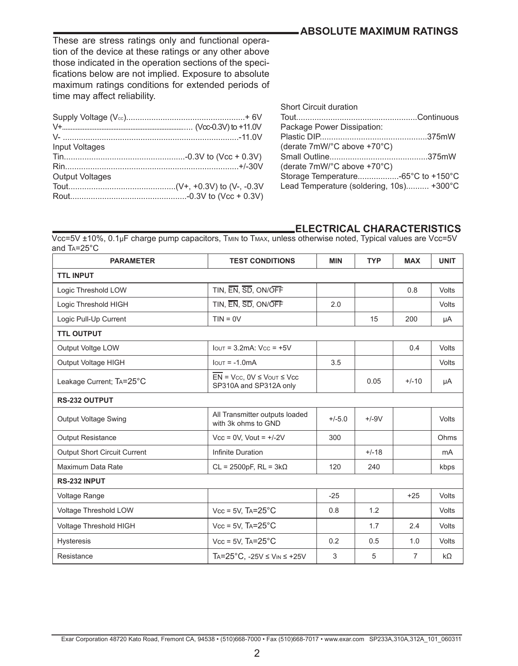# **Absolute Maximum Ratings**

These are stress ratings only and functional operation of the device at these ratings or any other above those indicated in the operation sections of the specifications below are not implied. Exposure to absolute maximum ratings conditions for extended periods of time may affect reliability.

| Input Voltages         |  |
|------------------------|--|
|                        |  |
|                        |  |
| <b>Output Voltages</b> |  |
|                        |  |
|                        |  |
|                        |  |

| <b>Short Circuit duration</b>            |  |
|------------------------------------------|--|
| Package Power Dissipation:               |  |
|                                          |  |
| (derate 7mW/°C above +70°C)              |  |
|                                          |  |
| (derate 7mW/°C above +70°C)              |  |
|                                          |  |
| Lead Temperature (soldering, 10s) +300°C |  |
|                                          |  |

#### **ELECTRICAL CHARACTERISTICS**

Vcc=5V ±10%, 0.1μF charge pump capacitors, Tmin to Tmax, unless otherwise noted, Typical values are Vcc=5V and Ta=25°C

| <b>PARAMETER</b>                    | <b>TEST CONDITIONS</b>                                                     | <b>MIN</b> | <b>TYP</b> | <b>MAX</b> | <b>UNIT</b>  |
|-------------------------------------|----------------------------------------------------------------------------|------------|------------|------------|--------------|
| <b>TTL INPUT</b>                    |                                                                            |            |            |            |              |
| Logic Threshold LOW                 | TIN, EN, SD, ON/OFF                                                        |            |            | 0.8        | <b>Volts</b> |
| Logic Threshold HIGH                | TIN, EN, SD, ON/OFF                                                        | 2.0        |            |            | <b>Volts</b> |
| Logic Pull-Up Current               | $TIN = OV$                                                                 |            | 15         | 200        | μA           |
| <b>TTL OUTPUT</b>                   |                                                                            |            |            |            |              |
| Output Voltge LOW                   | $I$ out = 3.2mA: $Vcc = +5V$                                               |            |            | 0.4        | <b>Volts</b> |
| Output Voltage HIGH                 | $I$ <sub>OUT</sub> = $-1.0$ mA                                             | 3.5        |            |            | <b>Volts</b> |
| Leakage Current; TA=25°C            | $\overline{EN}$ = Vcc, 0V $\leq$ Vout $\leq$ Vcc<br>SP310A and SP312A only |            | 0.05       | $+/-10$    | μA           |
| <b>RS-232 OUTPUT</b>                |                                                                            |            |            |            |              |
| <b>Output Voltage Swing</b>         | All Transmitter outputs loaded<br>with 3k ohms to GND                      | $+/-5.0$   | $+/-9V$    |            | <b>Volts</b> |
| <b>Output Resistance</b>            | $Vcc = 0V$ , $Vout = +/-2V$                                                | 300        |            |            | Ohms         |
| <b>Output Short Circuit Current</b> | Infinite Duration                                                          |            | $+/-18$    |            | mA           |
| Maximum Data Rate                   | $CL = 2500pF$ , $RL = 3k\Omega$                                            | 120        | 240        |            | kbps         |
| RS-232 INPUT                        |                                                                            |            |            |            |              |
| Voltage Range                       |                                                                            | $-25$      |            | $+25$      | Volts        |
| Voltage Threshold LOW               | $Vcc = 5V$ , $Ta=25^{\circ}C$                                              | 0.8        | 1.2        |            | <b>Volts</b> |
| Voltage Threshold HIGH              | $Vcc = 5V$ , $Ta=25^{\circ}C$                                              |            | 1.7        | 2.4        | <b>Volts</b> |
| <b>Hysteresis</b>                   | $Vec = 5V$ , $Ta = 25^{\circ}C$                                            | 0.2        | 0.5        | 1.0        | <b>Volts</b> |
| Resistance                          | $Ta = 25^{\circ}C$ . -25V $\leq$ V <sub>IN</sub> $\leq$ +25V               | 3          | 5          | 7          | $k\Omega$    |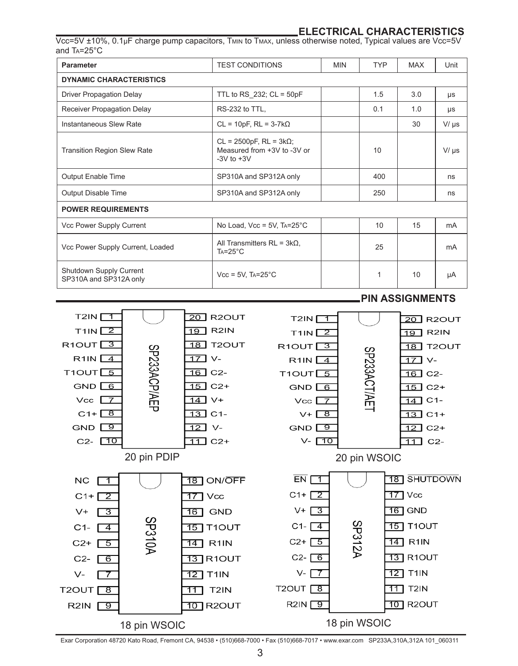#### **ELECTRICAL CHARACTERISTICS**

Vcc=5V ±10%, 0.1μF charge pump capacitors, Tmin to Tmax, unless otherwise noted, Typical values are Vcc=5V and Ta=25°C

| Parameter                                         | <b>TEST CONDITIONS</b>                                                             | <b>MIN</b> | <b>TYP</b> | <b>MAX</b> | Unit      |
|---------------------------------------------------|------------------------------------------------------------------------------------|------------|------------|------------|-----------|
| <b>DYNAMIC CHARACTERISTICS</b>                    |                                                                                    |            |            |            |           |
| <b>Driver Propagation Delay</b>                   | TTL to RS 232; $CL = 50pF$                                                         |            | 1.5        | 3.0        | $\mu s$   |
| Receiver Propagation Delay                        | RS-232 to TTL,                                                                     |            |            | 1.0        | μs        |
| Instantaneous Slew Rate                           | $CL = 10pF$ , $RL = 3-7k\Omega$                                                    |            |            | 30         | $V/\mu s$ |
| <b>Transition Region Slew Rate</b>                | $CL = 2500pF$ , $RL = 3k\Omega$ ;<br>Measured from +3V to -3V or<br>$-3V$ to $+3V$ |            | 10         |            | $V/\mu s$ |
| Output Enable Time                                | SP310A and SP312A only                                                             | 400        |            |            | ns        |
| Output Disable Time                               | SP310A and SP312A only                                                             |            | 250        |            | ns        |
| <b>POWER REQUIREMENTS</b>                         |                                                                                    |            |            |            |           |
| Vcc Power Supply Current                          | No Load, $Vec = 5V$ , $Ta=25^{\circ}C$                                             |            | 10         | 15         | mA        |
| Vcc Power Supply Current, Loaded                  | All Transmitters $RL = 3k\Omega$ ,<br>$Ta = 25^{\circ}C$                           |            | 25         |            | mA        |
| Shutdown Supply Current<br>SP310A and SP312A only | $Vcc = 5V$ , TA=25 $°C$                                                            |            | 1          | 10         | uA        |



Exar Corporation 48720 Kato Road, Fremont CA, 94538 • (510)668-7000 • Fax (510)668-7017 • www.exar.com SP233A,310A,312A 101\_060311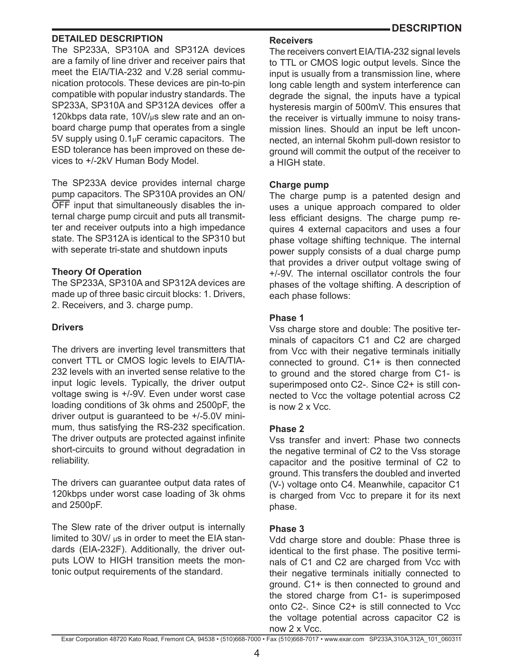#### **DESCRIPTION**

#### **DETAILED DESCRIPTION**

The SP233A, SP310A and SP312A devices are a family of line driver and receiver pairs that meet the EIA/TIA-232 and V.28 serial communication protocols. These devices are pin-to-pin compatible with popular industry standards. The SP233A, SP310A and SP312A devices offer a 120kbps data rate, 10V/μs slew rate and an onboard charge pump that operates from a single 5V supply using 0.1μF ceramic capacitors. The ESD tolerance has been improved on these devices to +/-2kV Human Body Model.

The SP233A device provides internal charge pump capacitors. The SP310A provides an ON/ OFF input that simultaneously disables the internal charge pump circuit and puts all transmitter and receiver outputs into a high impedance state. The SP312A is identical to the SP310 but with seperate tri-state and shutdown inputs

#### **Theory Of Operation**

The SP233A, SP310A and SP312A devices are made up of three basic circuit blocks: 1. Drivers, 2. Receivers, and 3. charge pump.

#### **Drivers**

The drivers are inverting level transmitters that convert TTL or CMOS logic levels to EIA/TIA-232 levels with an inverted sense relative to the input logic levels. Typically, the driver output voltage swing is +/-9V. Even under worst case loading conditions of 3k ohms and 2500pF, the driver output is guaranteed to be +/-5.0V minimum, thus satisfying the RS-232 specification. The driver outputs are protected against infinite short-circuits to ground without degradation in reliability.

The drivers can guarantee output data rates of 120kbps under worst case loading of 3k ohms and 2500pF.

The Slew rate of the driver output is internally limited to 30V/ $\mu$ s in order to meet the EIA standards (EIA-232F). Additionally, the driver outputs LOW to HIGH transition meets the montonic output requirements of the standard.

#### **Receivers**

The receivers convert EIA/TIA-232 signal levels to TTL or CMOS logic output levels. Since the input is usually from a transmission line, where long cable length and system interference can degrade the signal, the inputs have a typical hysteresis margin of 500mV. This ensures that the receiver is virtually immune to noisy transmission lines. Should an input be left unconnected, an internal 5kohm pull-down resistor to ground will commit the output of the receiver to a HIGH state.

#### **Charge pump**

The charge pump is a patented design and uses a unique approach compared to older less efficiant designs. The charge pump requires 4 external capacitors and uses a four phase voltage shifting technique. The internal power supply consists of a dual charge pump that provides a driver output voltage swing of +/-9V. The internal oscillator controls the four phases of the voltage shifting. A description of each phase follows:

#### **Phase 1**

Vss charge store and double: The positive terminals of capacitors C1 and C2 are charged from Vcc with their negative terminals initially connected to ground. C1+ is then connected to ground and the stored charge from C1- is superimposed onto C2-. Since C2+ is still connected to Vcc the voltage potential across C2 is now 2 x Vcc.

#### **Phase 2**

Vss transfer and invert: Phase two connects the negative terminal of C2 to the Vss storage capacitor and the positive terminal of C2 to ground. This transfers the doubled and inverted (V-) voltage onto C4. Meanwhile, capacitor C1 is charged from Vcc to prepare it for its next phase.

#### **Phase 3**

Vdd charge store and double: Phase three is identical to the first phase. The positive terminals of C1 and C2 are charged from Vcc with their negative terminals initially connected to ground. C1+ is then connected to ground and the stored charge from C1- is superimposed onto C2-. Since C2+ is still connected to Vcc the voltage potential across capacitor C2 is now 2 x Vcc.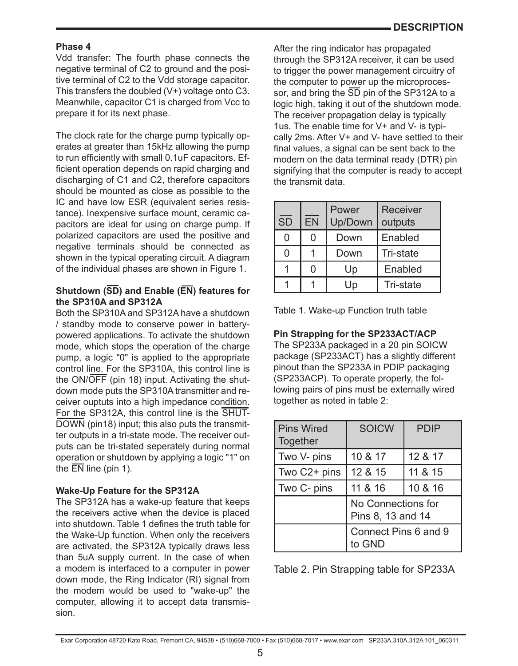#### **Phase 4**

Vdd transfer: The fourth phase connects the negative terminal of C2 to ground and the positive terminal of C2 to the Vdd storage capacitor. This transfers the doubled (V+) voltage onto C3. Meanwhile, capacitor C1 is charged from Vcc to prepare it for its next phase.

The clock rate for the charge pump typically operates at greater than 15kHz allowing the pump to run efficiently with small 0.1uF capacitors. Efficient operation depends on rapid charging and discharging of C1 and C2, therefore capacitors should be mounted as close as possible to the IC and have low ESR (equivalent series resistance). Inexpensive surface mount, ceramic capacitors are ideal for using on charge pump. If polarized capacitors are used the positive and negative terminals should be connected as shown in the typical operating circuit. A diagram of the individual phases are shown in Figure 1.

#### **Shutdown (SD) and Enable (EN) features for the SP310A and SP312A**

Both the SP310A and SP312A have a shutdown / standby mode to conserve power in batterypowered applications. To activate the shutdown mode, which stops the operation of the charge pump, a logic "0" is applied to the appropriate control line. For the SP310A, this control line is the ON/OFF (pin 18) input. Activating the shutdown mode puts the SP310A transmitter and receiver ouptuts into a high impedance condition. For the SP312A, this control line is the SHUT-DOWN (pin18) input; this also puts the transmitter outputs in a tri-state mode. The receiver outputs can be tri-stated seperately during normal operation or shutdown by applying a logic "1" on the  $\overline{FN}$  line (pin 1).

#### **Wake-Up Feature for the SP312A**

The SP312A has a wake-up feature that keeps the receivers active when the device is placed into shutdown. Table 1 defines the truth table for the Wake-Up function. When only the receivers are activated, the SP312A typically draws less than 5uA supply current. In the case of when a modem is interfaced to a computer in power down mode, the Ring Indicator (RI) signal from the modem would be used to "wake-up" the computer, allowing it to accept data transmission.

After the ring indicator has propagated through the SP312A receiver, it can be used to trigger the power management circuitry of the computer to power up the microprocessor, and bring the  $\overline{SD}$  pin of the SP312A to a logic high, taking it out of the shutdown mode. The receiver propagation delay is typically 1us. The enable time for V+ and V- is typically 2ms. After V+ and V- have settled to their final values, a signal can be sent back to the modem on the data terminal ready (DTR) pin signifying that the computer is ready to accept the transmit data.

| $\overline{SD}$ | <b>EN</b> | Power<br>Up/Down | Receiver<br>outputs |
|-----------------|-----------|------------------|---------------------|
| 0               | 0         | Down             | Enabled             |
| 0               |           | Down             | Tri-state           |
|                 | 0         | Up               | Enabled             |
|                 |           | Up               | Tri-state           |

| Table 1. Wake-up Function truth table |  |  |  |
|---------------------------------------|--|--|--|
|---------------------------------------|--|--|--|

### **Pin Strapping for the SP233ACT/ACP**

The SP233A packaged in a 20 pin SOICW package (SP233ACT) has a slightly different pinout than the SP233A in PDIP packaging (SP233ACP). To operate properly, the following pairs of pins must be externally wired together as noted in table 2:

| <b>Pins Wired</b><br>Together | <b>SOICW</b>                            | <b>PDIP</b> |
|-------------------------------|-----------------------------------------|-------------|
| Two V- pins                   | 10 & 17                                 | 12 & 17     |
| Two C2+ pins                  | 12 & 15                                 | 11 & 15     |
| Two C- pins                   | 11 & 16                                 | 10 & 16     |
|                               | No Connections for<br>Pins 8, 13 and 14 |             |
|                               | Connect Pins 6 and 9<br>to GND          |             |

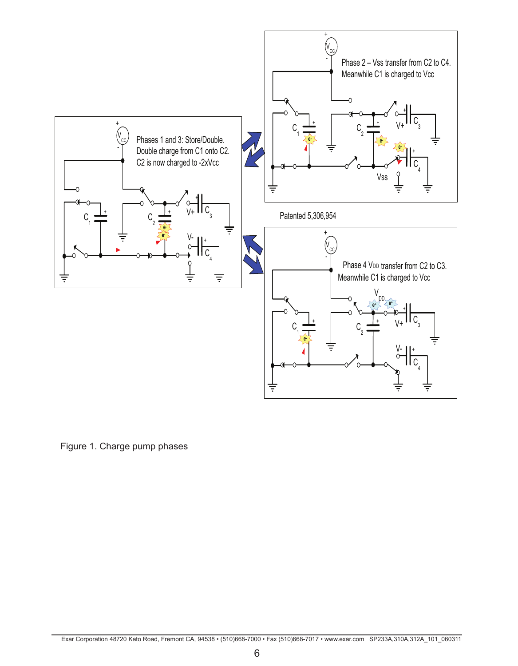

Figure 1. Charge pump phases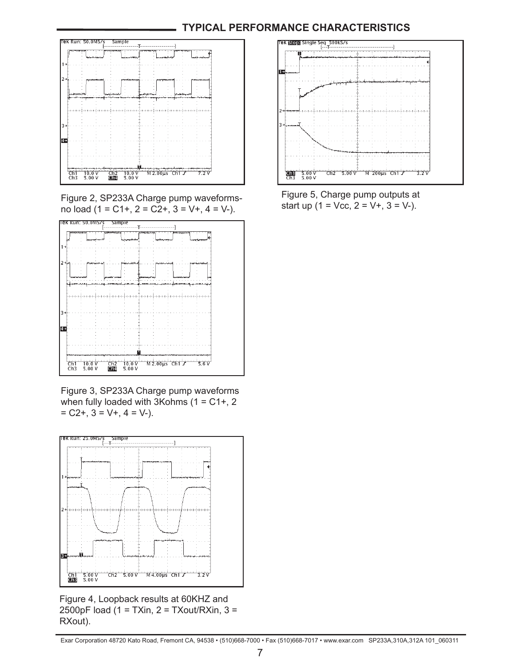# **TYPICAL PERFORMANCE CHARACTERISTICS**



Figure 2, SP233A Charge pump waveformsno load (1 = C1+, 2 = C2+, 3 = V+, 4 = V-).



Figure 3, SP233A Charge pump waveforms when fully loaded with 3Kohms  $(1 = C1 + 2)$  $= C2+, 3 = V+, 4 = V-$ ).



Figure 4, Loopback results at 60KHZ and 2500pF load (1 = TXin, 2 = TXout/RXin, 3 = RXout).



Figure 5, Charge pump outputs at start up  $(1 = \text{Vec}, 2 = \text{V+}, 3 = \text{V-}).$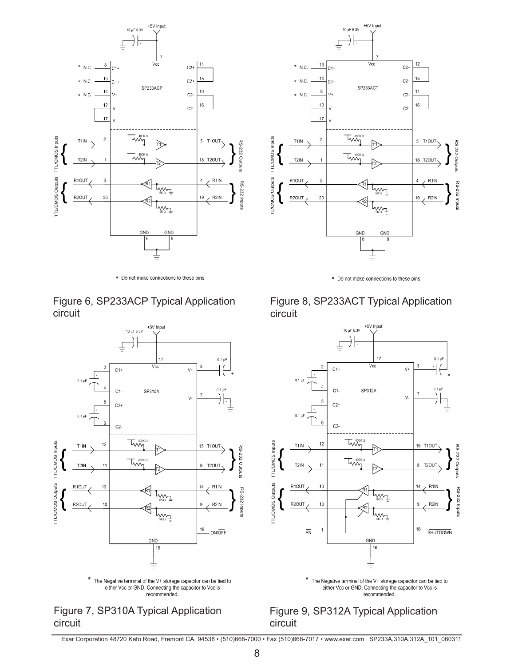

\* Do not make connections to these pins









 $*$  Do not make connections to these pins





recommended.

# Figure 9, SP312A Typical Application circuit

Exar Corporation 48720 Kato Road, Fremont CA, 94538 • (510)668-7000 • Fax (510)668-7017 • www.exar.com SP233A,310A,312A\_101\_060311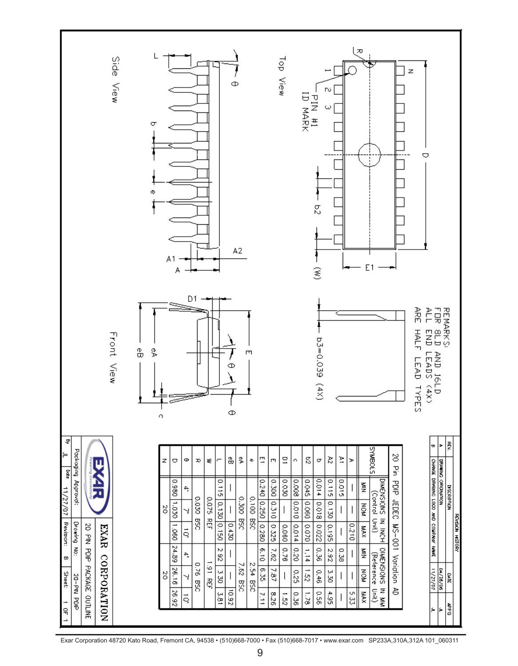

Exar Corporation 48720 Kato Road, Fremont CA, 94538 • (510)668-7000 • Fax (510)668-7017 • www.exar.com SP233A,310A,312A 101\_060311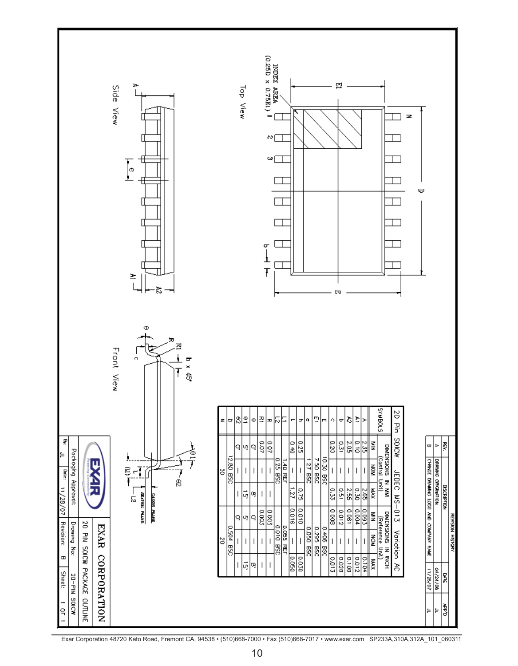

Exar Corporation 48720 Kato Road, Fremont CA, 94538 • (510)668-7000 • Fax (510)668-7017 • www.exar.com SP233A,310A,312A\_101\_060311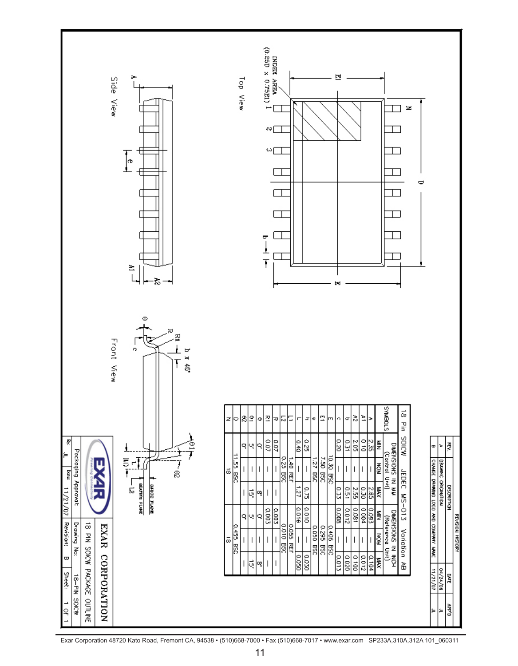

Exar Corporation 48720 Kato Road, Fremont CA, 94538 • (510)668-7000 • Fax (510)668-7017 • www.exar.com SP233A,310A,312A 101\_060311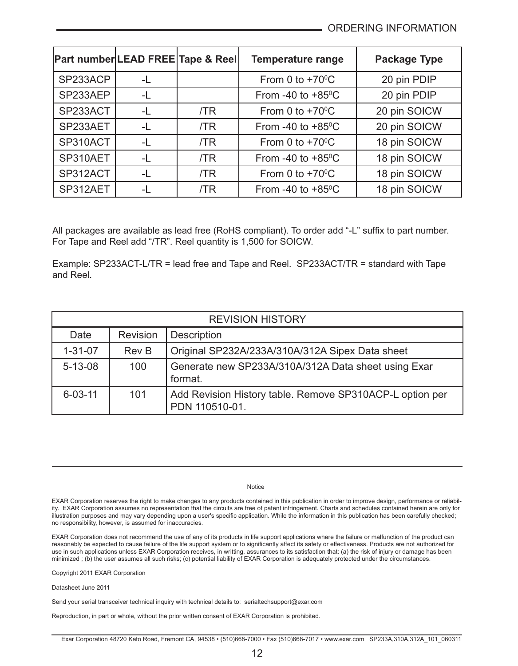| Part number LEAD FREE Tape & Reel |      |     | <b>Temperature range</b>    | Package Type |
|-----------------------------------|------|-----|-----------------------------|--------------|
| SP233ACP                          | -L   |     | From 0 to $+70^{\circ}$ C   | 20 pin PDIP  |
| SP233AEP                          | -L   |     | From -40 to $+85^{\circ}$ C | 20 pin PDIP  |
| SP233ACT                          | -L   | /TR | From 0 to $+70^{\circ}$ C   | 20 pin SOICW |
| SP233AET                          | -L   | /TR | From -40 to $+85^{\circ}$ C | 20 pin SOICW |
| SP310ACT                          | -L   | /TR | From 0 to $+70^{\circ}$ C   | 18 pin SOICW |
| SP310AET                          | -L   | /TR | From -40 to $+85^{\circ}$ C | 18 pin SOICW |
| SP312ACT                          | $-1$ | /TR | From 0 to $+70^{\circ}$ C   | 18 pin SOICW |
| SP312AET                          | -L   | /TR | From -40 to $+85^{\circ}$ C | 18 pin SOICW |

All packages are available as lead free (RoHS compliant). To order add "-L" suffix to part number. For Tape and Reel add "/TR". Reel quantity is 1,500 for SOICW.

Example: SP233ACT-L/TR = lead free and Tape and Reel. SP233ACT/TR = standard with Tape and Reel.

| <b>REVISION HISTORY</b> |          |                                                                            |  |  |
|-------------------------|----------|----------------------------------------------------------------------------|--|--|
| Date                    | Revision | Description                                                                |  |  |
| $1 - 31 - 07$           | Rev B    | Original SP232A/233A/310A/312A Sipex Data sheet                            |  |  |
| $5 - 13 - 08$           | 100      | Generate new SP233A/310A/312A Data sheet using Exar<br>format.             |  |  |
| $6 - 03 - 11$           | 101      | Add Revision History table. Remove SP310ACP-L option per<br>PDN 110510-01. |  |  |

Notice

EXAR Corporation reserves the right to make changes to any products contained in this publication in order to improve design, performance or reliability. EXAR Corporation assumes no representation that the circuits are free of patent infringement. Charts and schedules contained herein are only for illustration purposes and may vary depending upon a user's specific application. While the information in this publication has been carefully checked; no responsibility, however, is assumed for inaccuracies.

EXAR Corporation does not recommend the use of any of its products in life support applications where the failure or malfunction of the product can reasonably be expected to cause failure of the life support system or to significantly affect its safety or effectiveness. Products are not authorized for use in such applications unless EXAR Corporation receives, in writting, assurances to its satisfaction that: (a) the risk of injury or damage has been minimized ; (b) the user assumes all such risks; (c) potential liability of EXAR Corporation is adequately protected under the circumstances.

Copyright 2011 EXAR Corporation

Datasheet June 2011

Send your serial transceiver technical inquiry with technical details to: serialtechsupport@exar.com

Reproduction, in part or whole, without the prior written consent of EXAR Corporation is prohibited.

Exar Corporation 48720 Kato Road, Fremont CA, 94538 • (510)668-7000 • Fax (510)668-7017 • www.exar.com SP233A,310A,312A\_101\_060311